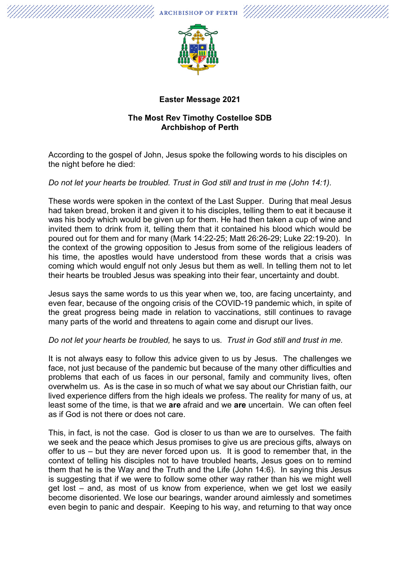

## **Easter Message 2021**

## **The Most Rev Timothy Costelloe SDB Archbishop of Perth**

According to the gospel of John, Jesus spoke the following words to his disciples on the night before he died:

## *Do not let your hearts be troubled. Trust in God still and trust in me (John 14:1).*

These words were spoken in the context of the Last Supper. During that meal Jesus had taken bread, broken it and given it to his disciples, telling them to eat it because it was his body which would be given up for them. He had then taken a cup of wine and invited them to drink from it, telling them that it contained his blood which would be poured out for them and for many (Mark 14:22-25; Matt 26:26-29; Luke 22:19-20). In the context of the growing opposition to Jesus from some of the religious leaders of his time, the apostles would have understood from these words that a crisis was coming which would engulf not only Jesus but them as well. In telling them not to let their hearts be troubled Jesus was speaking into their fear, uncertainty and doubt.

Jesus says the same words to us this year when we, too, are facing uncertainty, and even fear, because of the ongoing crisis of the COVID-19 pandemic which, in spite of the great progress being made in relation to vaccinations, still continues to ravage many parts of the world and threatens to again come and disrupt our lives.

## *Do not let your hearts be troubled,* he says to us*. Trust in God still and trust in me.*

It is not always easy to follow this advice given to us by Jesus. The challenges we face, not just because of the pandemic but because of the many other difficulties and problems that each of us faces in our personal, family and community lives, often overwhelm us. As is the case in so much of what we say about our Christian faith, our lived experience differs from the high ideals we profess. The reality for many of us, at least some of the time, is that we **are** afraid and we **are** uncertain. We can often feel as if God is not there or does not care.

This, in fact, is not the case. God is closer to us than we are to ourselves. The faith we seek and the peace which Jesus promises to give us are precious gifts, always on offer to us – but they are never forced upon us. It is good to remember that, in the context of telling his disciples not to have troubled hearts, Jesus goes on to remind them that he is the Way and the Truth and the Life (John 14:6). In saying this Jesus is suggesting that if we were to follow some other way rather than his we might well get lost – and, as most of us know from experience, when we get lost we easily become disoriented. We lose our bearings, wander around aimlessly and sometimes even begin to panic and despair. Keeping to his way, and returning to that way once